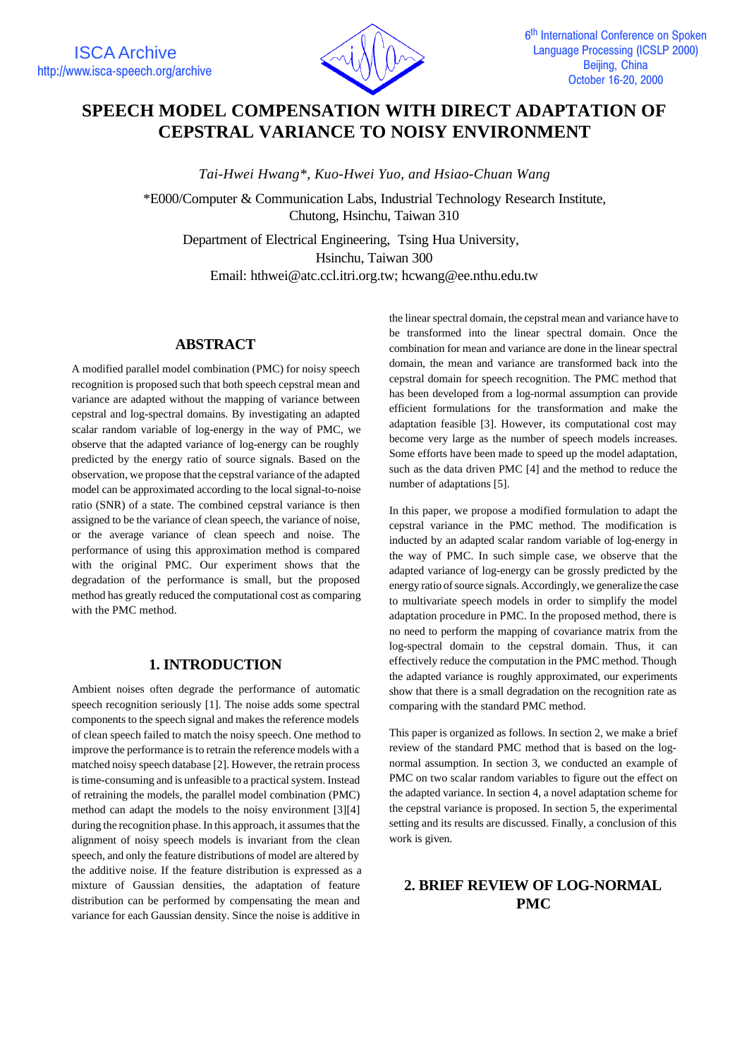

# **SPEECH MODEL COMPENSATION WITH DIRECT ADAPTATION OF CEPSTRAL VARIANCE TO NOISY ENVIRONMENT**

*Tai-Hwei Hwang\*, Kuo-Hwei Yuo, and Hsiao-Chuan Wang*

\*E000/Computer & Communication Labs, Industrial Technology Research Institute, Chutong, Hsinchu, Taiwan 310

Department of Electrical Engineering, Tsing Hua University, Hsinchu, Taiwan 300 Email: hthwei@atc.ccl.itri.org.tw; hcwang@ee.nthu.edu.tw

### **ABSTRACT**

A modified parallel model combination (PMC) for noisy speech recognition is proposed such that both speech cepstral mean and variance are adapted without the mapping of variance between cepstral and log-spectral domains. By investigating an adapted scalar random variable of log-energy in the way of PMC, we observe that the adapted variance of log-energy can be roughly predicted by the energy ratio of source signals. Based on the observation, we propose that the cepstral variance of the adapted model can be approximated according to the local signal-to-noise ratio (SNR) of a state. The combined cepstral variance is then assigned to be the variance of clean speech, the variance of noise, or the average variance of clean speech and noise. The performance of using this approximation method is compared with the original PMC. Our experiment shows that the degradation of the performance is small, but the proposed method has greatly reduced the computational cost as comparing with the PMC method.

### **1. INTRODUCTION**

Ambient noises often degrade the performance of automatic speech recognition seriously [1]. The noise adds some spectral components to the speech signal and makes the reference models of clean speech failed to match the noisy speech. One method to improve the performance is to retrain the reference models with a matched noisy speech database [2]. However, the retrain process is time-consuming and is unfeasible to a practical system. Instead of retraining the models, the parallel model combination (PMC) method can adapt the models to the noisy environment [3][4] during the recognition phase. In this approach, it assumes that the alignment of noisy speech models is invariant from the clean speech, and only the feature distributions of model are altered by the additive noise. If the feature distribution is expressed as a mixture of Gaussian densities, the adaptation of feature distribution can be performed by compensating the mean and variance for each Gaussian density. Since the noise is additive in

the linear spectral domain, the cepstral mean and variance have to be transformed into the linear spectral domain. Once the combination for mean and variance are done in the linear spectral domain, the mean and variance are transformed back into the cepstral domain for speech recognition. The PMC method that has been developed from a log-normal assumption can provide efficient formulations for the transformation and make the adaptation feasible [3]. However, its computational cost may become very large as the number of speech models increases. Some efforts have been made to speed up the model adaptation, such as the data driven PMC [4] and the method to reduce the number of adaptations [5].

In this paper, we propose a modified formulation to adapt the cepstral variance in the PMC method. The modification is inducted by an adapted scalar random variable of log-energy in the way of PMC. In such simple case, we observe that the adapted variance of log-energy can be grossly predicted by the energy ratio of source signals. Accordingly, we generalize the case to multivariate speech models in order to simplify the model adaptation procedure in PMC. In the proposed method, there is no need to perform the mapping of covariance matrix from the log-spectral domain to the cepstral domain. Thus, it can effectively reduce the computation in the PMC method. Though the adapted variance is roughly approximated, our experiments show that there is a small degradation on the recognition rate as comparing with the standard PMC method.

This paper is organized as follows. In section 2, we make a brief review of the standard PMC method that is based on the lognormal assumption. In section 3, we conducted an example of PMC on two scalar random variables to figure out the effect on the adapted variance. In section 4, a novel adaptation scheme for the cepstral variance is proposed. In section 5, the experimental setting and its results are discussed. Finally, a conclusion of this work is given.

# **2. BRIEF REVIEW OF LOG-NORMAL PMC**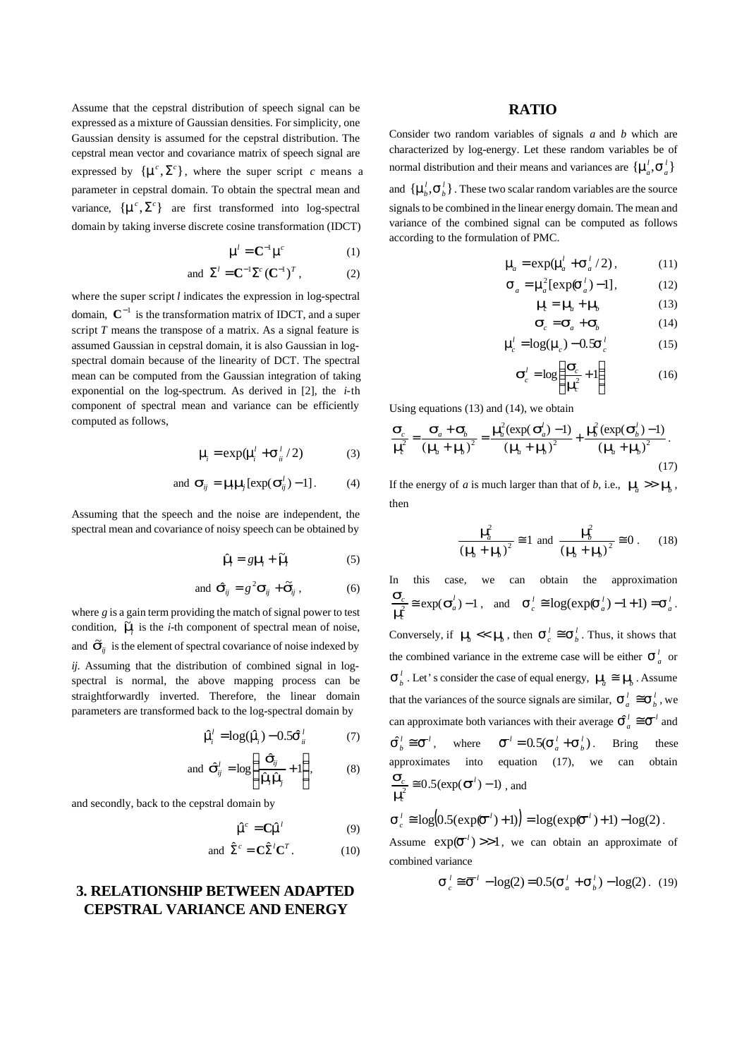Assume that the cepstral distribution of speech signal can be expressed as a mixture of Gaussian densities. For simplicity, one Gaussian density is assumed for the cepstral distribution. The cepstral mean vector and covariance matrix of speech signal are expressed by  $\{\mathbf{m}^c, \Sigma^c\}$ , where the super script *c* means a parameter in cepstral domain. To obtain the spectral mean and variance,  $\{\mathbf{m}^c, \Sigma^c\}$  are first transformed into log-spectral domain by taking inverse discrete cosine transformation (IDCT)

$$
\mathbf{m}^l = \mathbf{C}^{-1} \mathbf{m}^l \tag{1}
$$
  
and 
$$
\Sigma^l = \mathbf{C}^{-1} \Sigma^c (\mathbf{C}^{-1})^T, \tag{2}
$$

where the super script *l* indicates the expression in log-spectral domain,  $C^{-1}$  is the transformation matrix of IDCT, and a super script *T* means the transpose of a matrix. As a signal feature is assumed Gaussian in cepstral domain, it is also Gaussian in logspectral domain because of the linearity of DCT. The spectral mean can be computed from the Gaussian integration of taking exponential on the log-spectrum. As derived in [2], the *i*-th component of spectral mean and variance can be efficiently computed as follows,

$$
\mathbf{m}_i = \exp(\mathbf{m}_i^j + \mathbf{s}_{ii}^l/2) \tag{3}
$$

and 
$$
\mathbf{S}_{ij} = \mathbf{m}\mathbf{m}[\exp(\mathbf{S}_{ij}^l)-1]
$$
. (4)

Assuming that the speech and the noise are independent, the spectral mean and covariance of noisy speech can be obtained by

$$
\hat{\mathbf{m}} = g\mathbf{m} + \widetilde{\mathbf{m}} \tag{5}
$$

and 
$$
\hat{\mathbf{S}}_{ij} = g^2 \mathbf{S}_{ij} + \tilde{\mathbf{S}}_{ij}
$$
, (6)

where *g* is a gain term providing the match of signal power to test condition,  $\overline{\mathbf{n}}$  is the *i*-th component of spectral mean of noise, and  $\tilde{\mathbf{s}}_{ij}$  is the element of spectral covariance of noise indexed by *ij*. Assuming that the distribution of combined signal in logspectral is normal, the above mapping process can be straightforwardly inverted. Therefore, the linear domain parameters are transformed back to the log-spectral domain by

*l m*ˆ*i*

$$
\hat{\mathbf{\hat{\eta}}}^j = \log(\hat{\mathbf{\hat{\eta}}}_i) - 0.5 \hat{\mathbf{S}}_{ii}^{\,l} \tag{7}
$$

and 
$$
\hat{\mathbf{S}}_{ij}^{l} = \log \left( \frac{\hat{\mathbf{S}}_{ij}}{\hat{\mathbf{n}} \hat{\mathbf{n}} \hat{\mathbf{n}}^{l}} + 1 \right),
$$
 (8)

and secondly, back to the cepstral domain by

$$
\hat{\mathbf{m}}f = \mathbf{C}\hat{\mathbf{m}}^l \tag{9}
$$

and 
$$
\hat{\Sigma}^c = \mathbf{C} \hat{\Sigma}^l \mathbf{C}^T
$$
. (10)

## **3. RELATIONSHIP BETWEEN ADAPTED CEPSTRAL VARIANCE AND ENERGY**

### **RATIO**

Consider two random variables of signals *a* and *b* which are characterized by log-energy. Let these random variables be of normal distribution and their means and variances are  $\{\mathbf{m}_a^j, \mathbf{s}_a^l\}$ and  $\{\boldsymbol{m}_b^l, \boldsymbol{S}_b^l\}$ . These two scalar random variables are the source signals to be combined in the linear energy domain. The mean and variance of the combined signal can be computed as follows according to the formulation of PMC.

$$
\mathbf{m}_a = \exp(\mathbf{m}_a^j + \mathbf{s}_a^j/2),\tag{11}
$$

$$
\mathbf{S}_a = \mathbf{m}_a^2 [\exp(\mathbf{S}_a^l) - 1],\tag{12}
$$

$$
\mathbf{m}_c = \mathbf{m}_a + \mathbf{m}_b \tag{13}
$$
\n
$$
\mathbf{S}_c = \mathbf{S}_a + \mathbf{S}_b \tag{14}
$$

$$
\mathbf{m}_c^j = \log(\mathbf{m}_c) - 0.5\mathbf{S}_c^{\,l} \tag{15}
$$

$$
\mathbf{s}_c^l = \log\left(\frac{\mathbf{s}_c}{2} + 1\right) \tag{16}
$$

$$
\boldsymbol{S}_c^l = \log \left( \frac{\boldsymbol{S}_c}{\boldsymbol{n}\hat{\boldsymbol{l}}} + 1 \right) \tag{16}
$$

Using equations (13) and (14), we obtain

$$
\frac{\mathbf{S}_c}{\mathbf{m}_e^2} = \frac{\mathbf{S}_a + \mathbf{S}_b}{\left(\mathbf{m}_a + \mathbf{m}_b\right)^2} = \frac{\mathbf{m}_a^2 (\exp(\mathbf{S}_a^j) - 1)}{\left(\mathbf{m}_a + \mathbf{m}_b\right)^2} + \frac{\mathbf{m}_b^2 (\exp(\mathbf{S}_b^j) - 1)}{\left(\mathbf{m}_a + \mathbf{m}_b\right)^2}.
$$
\n(17)

If the energy of *a* is much larger than that of *b*, i.e.,  $m_a \gg m_b$ , then

$$
\frac{\eta_{d}^{2}}{\left(\eta_{d} + \eta_{g}\right)^{2}} \approx 1 \text{ and } \frac{\eta_{g}^{2}}{\left(\eta_{d} + \eta_{g}\right)^{2}} \approx 0. \qquad (18)
$$

In this case, we can obtain the approximation  $\frac{\partial c}{\partial t} \equiv \exp(\mathbf{s}_a^l) - 1$  $\frac{S_c}{m} \approx \exp(S)$  $\frac{S_c}{r_a^2} \approx \exp(\mathbf{s}_a^l) - 1$ , and  $\mathbf{s}_c^l \approx \log(\exp(\mathbf{s}_a^l) - 1 + 1) = \mathbf{s}_a^l$ . Conversely, if  $m_a \ll m_b$ , then  $\mathbf{S}_c^l \cong \mathbf{S}_b^l$ . Thus, it shows that the combined variance in the extreme case will be either  $s^l_a$  or  $S_b^l$ . Let's consider the case of equal energy,  $m_a \cong m_b^l$ . Assume that the variances of the source signals are similar,  $\boldsymbol{S}_a^l \cong \boldsymbol{S}_b^l$ , we can approximate both variances with their average  $\hat{\boldsymbol{S}}_a^l \cong \boldsymbol{S}^l$  and  $\mathbf{\hat{S}}_b^l \cong \mathbf{\overline{S}}^l$ , where  $\mathbf{\overline{S}}^l = 0.5(\mathbf{S}_a^l + \mathbf{S}_b^l)$ . Bring these approximates into equation (17), we can obtain  $\frac{c}{2} \approx 0.5(\exp(\boldsymbol{\overline{S}}^l)-1)$ *c*  $\frac{c}{2} \approx 0.5$  (exp( $\bar{\mathbf{s}}$ ) *m*  $\frac{\mathbf{S}_c}{\lambda} \equiv 0.5(\exp(\boldsymbol{\vec{S}}^l)-1)$ , and

$$
\mathbf{S}_c^l \cong \log(0.5(\exp(\mathbf{S}^l) + 1)) = \log(\exp(\mathbf{S}^l) + 1) - \log(2).
$$
  
Assume  $\exp(\mathbf{S}^l) >> 1$ , we can obtain an approximate of combined variance

$$
\boldsymbol{S}_{c}^{l} \cong \overline{\boldsymbol{S}}^{l} - \log(2) = 0.5(\boldsymbol{S}_{a}^{l} + \boldsymbol{S}_{b}^{l}) - \log(2). \quad (19)
$$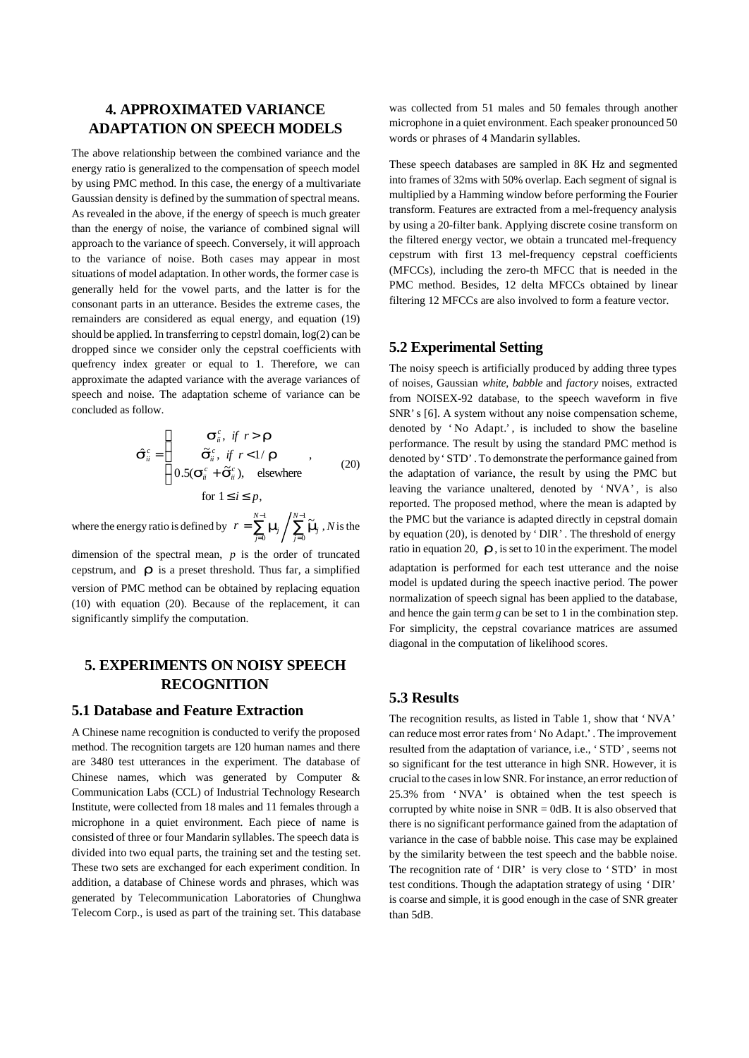# **4. APPROXIMATED VARIANCE ADAPTATION ON SPEECH MODELS**

The above relationship between the combined variance and the energy ratio is generalized to the compensation of speech model by using PMC method. In this case, the energy of a multivariate Gaussian density is defined by the summation of spectral means. As revealed in the above, if the energy of speech is much greater than the energy of noise, the variance of combined signal will approach to the variance of speech. Conversely, it will approach to the variance of noise. Both cases may appear in most situations of model adaptation. In other words, the former case is generally held for the vowel parts, and the latter is for the consonant parts in an utterance. Besides the extreme cases, the remainders are considered as equal energy, and equation (19) should be applied. In transferring to cepstrl domain, log(2) can be dropped since we consider only the cepstral coefficients with quefrency index greater or equal to 1. Therefore, we can approximate the adapted variance with the average variances of speech and noise. The adaptation scheme of variance can be concluded as follow.

$$
\hat{\mathbf{S}}_{ii}^{c} = \begin{cases}\n\mathbf{S}_{ii}^{c}, & \text{if } r > \mathbf{r} \\
\tilde{\mathbf{S}}_{ii}^{c}, & \text{if } r < 1/\mathbf{r} \\
0.5(\mathbf{S}_{ii}^{c} + \tilde{\mathbf{S}}_{ii}^{c}), & \text{elsewhere} \\
\text{for } 1 \leq i \leq p,\n\end{cases}
$$
\n(20)

where the energy ratio is defined by  $\mathbf{r} = \sum_{i=1}^{N-1} \mathbf{m}_i / \sum_{i=1}^{N-1}$ = −  $=\sum_{j=0}^{N-1}$  **m**  $\left/ \sum_{j=0}^{N-1} \right.$ 0 1 0 ~ *N* /<br>*j*=0 *N*  $r = \sum_{j=0}^{N} m_j / \sum_{j=0}^{N} \widetilde{m}_j$ , *N* is the dimension of the spectral mean, *p* is the order of truncated

cepstrum, and  $\boldsymbol{r}$  is a preset threshold. Thus far, a simplified version of PMC method can be obtained by replacing equation (10) with equation (20). Because of the replacement, it can significantly simplify the computation.

# **5. EXPERIMENTS ON NOISY SPEECH RECOGNITION**

#### **5.1 Database and Feature Extraction**

A Chinese name recognition is conducted to verify the proposed method. The recognition targets are 120 human names and there are 3480 test utterances in the experiment. The database of Chinese names, which was generated by Computer & Communication Labs (CCL) of Industrial Technology Research Institute, were collected from 18 males and 11 females through a microphone in a quiet environment. Each piece of name is consisted of three or four Mandarin syllables. The speech data is divided into two equal parts, the training set and the testing set. These two sets are exchanged for each experiment condition. In addition, a database of Chinese words and phrases, which was generated by Telecommunication Laboratories of Chunghwa Telecom Corp., is used as part of the training set. This database was collected from 51 males and 50 females through another microphone in a quiet environment. Each speaker pronounced 50 words or phrases of 4 Mandarin syllables.

These speech databases are sampled in 8K Hz and segmented into frames of 32ms with 50% overlap. Each segment of signal is multiplied by a Hamming window before performing the Fourier transform. Features are extracted from a mel-frequency analysis by using a 20-filter bank. Applying discrete cosine transform on the filtered energy vector, we obtain a truncated mel-frequency cepstrum with first 13 mel-frequency cepstral coefficients (MFCCs), including the zero-th MFCC that is needed in the PMC method. Besides, 12 delta MFCCs obtained by linear filtering 12 MFCCs are also involved to form a feature vector.

#### **5.2 Experimental Setting**

The noisy speech is artificially produced by adding three types of noises, Gaussian *white*, *babble* and *factory* noises, extracted from NOISEX-92 database, to the speech waveform in five SNR's [6]. A system without any noise compensation scheme, denoted by 'No Adapt.', is included to show the baseline performance. The result by using the standard PMC method is denoted by 'STD'. To demonstrate the performance gained from the adaptation of variance, the result by using the PMC but leaving the variance unaltered, denoted by 'NVA', is also reported. The proposed method, where the mean is adapted by the PMC but the variance is adapted directly in cepstral domain by equation (20), is denoted by 'DIR'. The threshold of energy ratio in equation 20,  $\boldsymbol{r}$ , is set to 10 in the experiment. The model

adaptation is performed for each test utterance and the noise model is updated during the speech inactive period. The power normalization of speech signal has been applied to the database, and hence the gain term  $g$  can be set to 1 in the combination step. For simplicity, the cepstral covariance matrices are assumed diagonal in the computation of likelihood scores.

### **5.3 Results**

The recognition results, as listed in Table 1, show that 'NVA' can reduce most error rates from 'No Adapt.'. The improvement resulted from the adaptation of variance, i.e., 'STD', seems not so significant for the test utterance in high SNR. However, it is crucial to the cases in low SNR. For instance, an error reduction of 25.3% from 'NVA' is obtained when the test speech is corrupted by white noise in  $SNR = 0$ dB. It is also observed that there is no significant performance gained from the adaptation of variance in the case of babble noise. This case may be explained by the similarity between the test speech and the babble noise. The recognition rate of 'DIR' is very close to 'STD' in most test conditions. Though the adaptation strategy of using 'DIR' is coarse and simple, it is good enough in the case of SNR greater than 5dB.